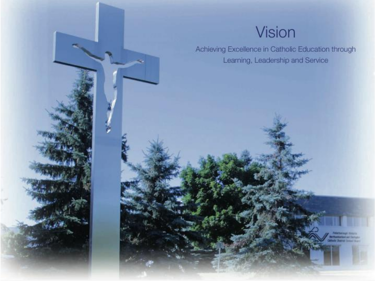#### Vision

Achieving Excellence in Catholic Education through Learning, Leadership and Service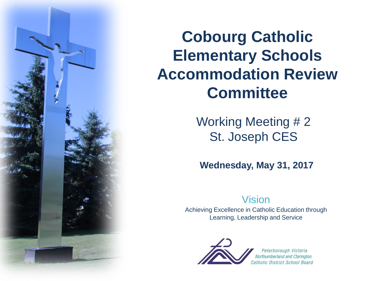

**Cobourg Catholic Elementary Schools Accommodation Review Committee** 

> Working Meeting #2 St. Joseph CES

**Wednesday, May 31, 2017**

#### Vision

Achieving Excellence in Catholic Education through Learning, Leadership and Service



Peterborough Victoria Northumberland and Clarington Catholic District School Board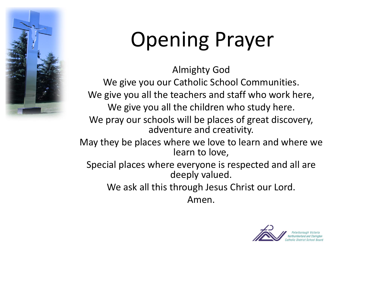

## Opening Prayer

Almighty God We give you our Catholic School Communities. We give you all the teachers and staff who work here, We give you all the children who study here. We pray our schools will be places of great discovery, adventure and creativity. May they be places where we love to learn and where we learn to love, Special places where everyone is respected and all are deeply valued. We ask all this through Jesus Christ our Lord.

Amen.

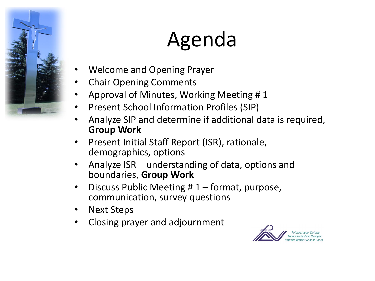

## Agenda

- Welcome and Opening Prayer
- Chair Opening Comments
- Approval of Minutes, Working Meeting # 1
- Present School Information Profiles (SIP)
- Analyze SIP and determine if additional data is required, **Group Work**
- Present Initial Staff Report (ISR), rationale, demographics, options
- Analyze ISR understanding of data, options and boundaries, **Group Work**
- Discuss Public Meeting  $# 1$  format, purpose, communication, survey questions
- Next Steps
- Closing prayer and adjournment

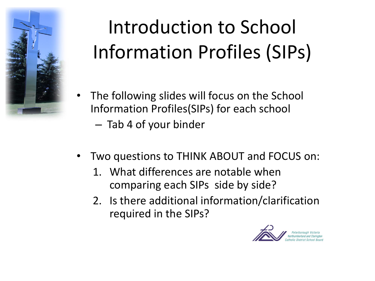

## Introduction to School Information Profiles (SIPs)

- The following slides will focus on the School Information Profiles(SIPs) for each school
	- Tab 4 of your binder
- Two questions to THINK ABOUT and FOCUS on:
	- 1. What differences are notable when comparing each SIPs side by side?
	- 2. Is there additional information/clarification required in the SIPs?

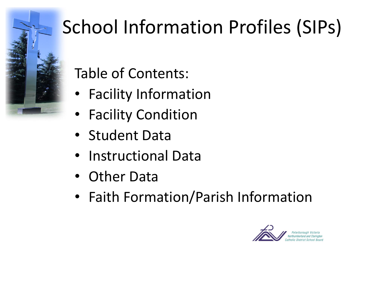

## School Information Profiles (SIPs)

Table of Contents:

- Facility Information
- Facility Condition
- Student Data
- Instructional Data
- Other Data
- Faith Formation/Parish Information

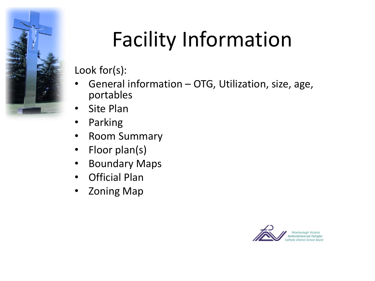

## Facility Information

- General information OTG, Utilization, size, age, portables
- Site Plan
- Parking
- Room Summary
- Floor plan(s)
- Boundary Maps
- Official Plan
- Zoning Map

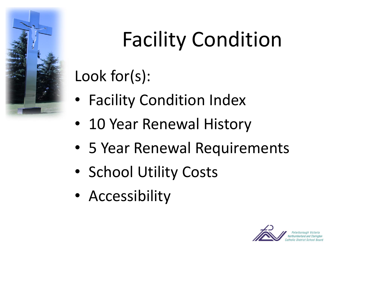

## Facility Condition

- Facility Condition Index
- 10 Year Renewal History
- 5 Year Renewal Requirements
- School Utility Costs
- Accessibility

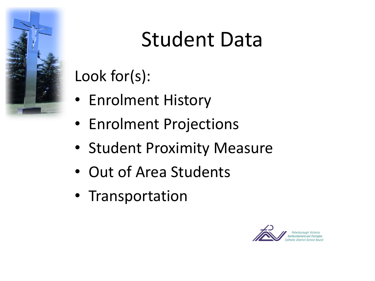

#### Student Data

- Enrolment History
- Enrolment Projections
- Student Proximity Measure
- Out of Area Students
- Transportation

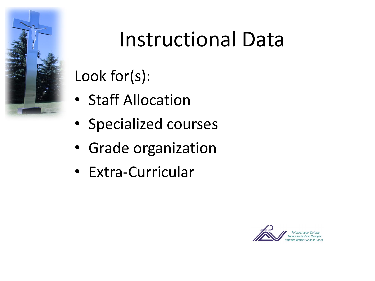

### Instructional Data

- Staff Allocation
- Specialized courses
- Grade organization
- Extra-Curricular

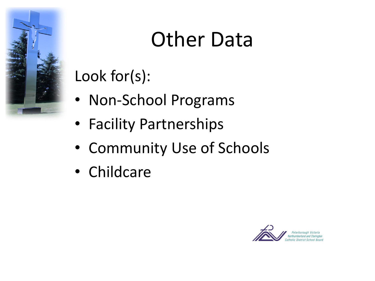

#### Other Data

- Non-School Programs
- Facility Partnerships
- Community Use of Schools
- Childcare

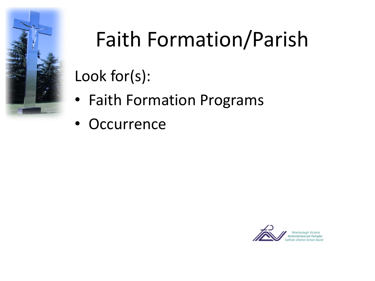

## Faith Formation/Parish

- Faith Formation Programs
- Occurrence

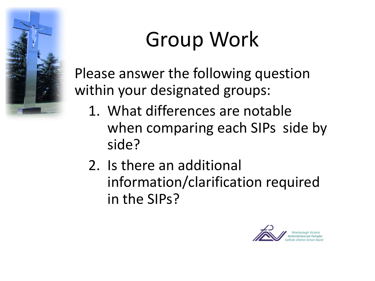

### Group Work

Please answer the following question within your designated groups:

- 1. What differences are notable when comparing each SIPs side by side?
- 2. Is there an additional information/clarification required in the SIPs?

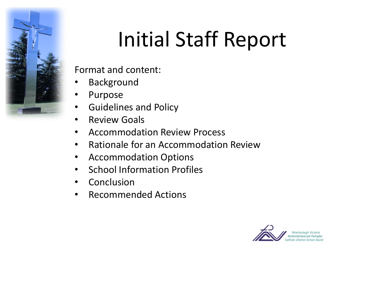

## Initial Staff Report

Format and content:

- **Background**
- Purpose
- Guidelines and Policy
- Review Goals
- Accommodation Review Process
- Rationale for an Accommodation Review
- Accommodation Options
- School Information Profiles
- Conclusion
- Recommended Actions

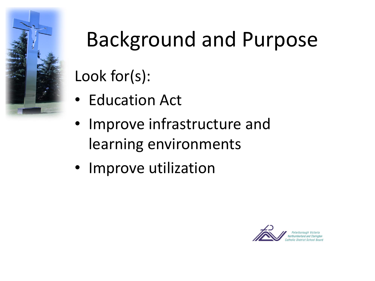

# Background and Purpose

- Education Act
- Improve infrastructure and learning environments
- Improve utilization

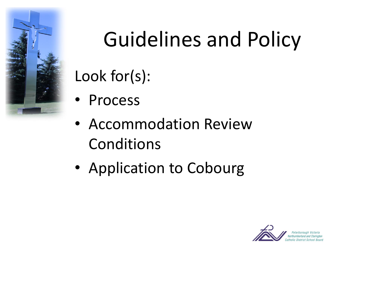

## Guidelines and Policy

- Process
- Accommodation Review Conditions
- Application to Cobourg

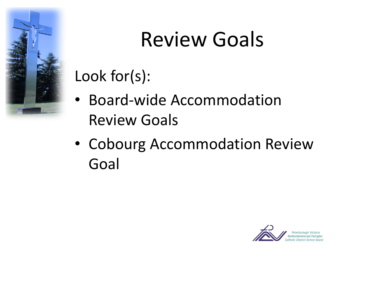

#### Review Goals

- Board-wide Accommodation Review Goals
- Cobourg Accommodation Review Goal

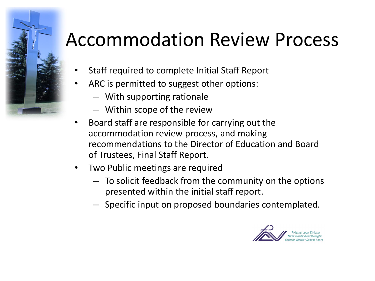#### Accommodation Review Process

- Staff required to complete Initial Staff Report
- ARC is permitted to suggest other options:
	- With supporting rationale
	- Within scope of the review
- Board staff are responsible for carrying out the accommodation review process, and making recommendations to the Director of Education and Board of Trustees, Final Staff Report.
- Two Public meetings are required
	- To solicit feedback from the community on the options presented within the initial staff report.
	- Specific input on proposed boundaries contemplated.

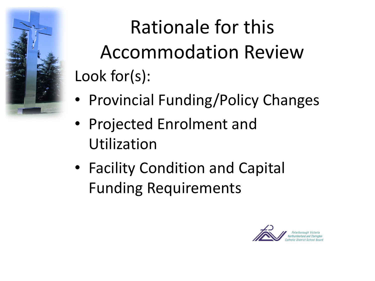

Rationale for this Accommodation Review Look for(s):

- Provincial Funding/Policy Changes
- Projected Enrolment and Utilization
- Facility Condition and Capital Funding Requirements

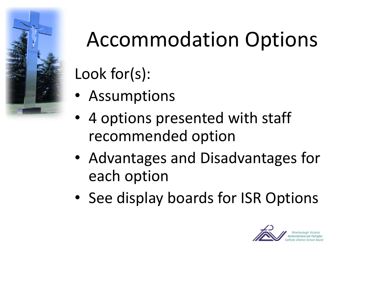

## Accommodation Options

- Assumptions
- 4 options presented with staff recommended option
- Advantages and Disadvantages for each option
- See display boards for ISR Options

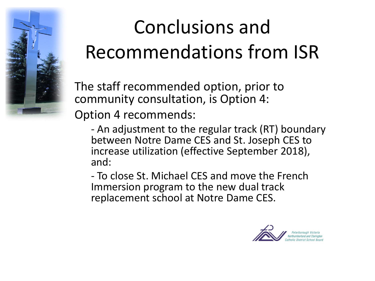

#### Conclusions and Recommendations from ISR

The staff recommended option, prior to community consultation, is Option 4: Option 4 recommends:

- An adjustment to the regular track (RT) boundary between Notre Dame CES and St. Joseph CES to increase utilization (effective September 2018), and:

- To close St. Michael CES and move the French Immersion program to the new dual track replacement school at Notre Dame CES.

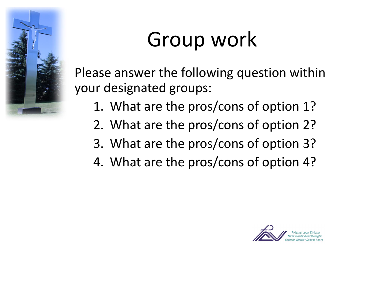

### Group work

Please answer the following question within your designated groups:

- 1. What are the pros/cons of option 1?
- 2. What are the pros/cons of option 2?
- 3. What are the pros/cons of option 3?
- 4. What are the pros/cons of option 4?

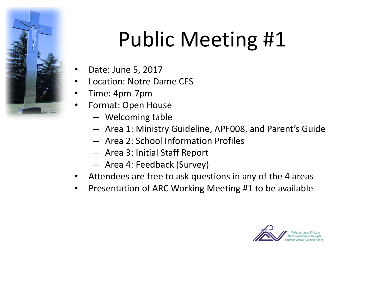

## Public Meeting #1

- Date: June 5, 2017
- Location: Notre Dame CES
- Time: 4pm-7pm
- Format: Open House
	- Welcoming table
	- Area 1: Ministry Guideline, APF008, and Parent's Guide
	- Area 2: School Information Profiles
	- Area 3: Initial Staff Report
	- Area 4: Feedback (Survey)
- Attendees are free to ask questions in any of the 4 areas
- Presentation of ARC Working Meeting #1 to be available

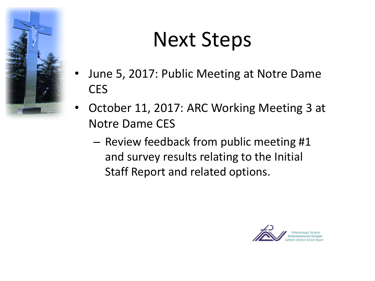

#### Next Steps

- June 5, 2017: Public Meeting at Notre Dame **CES**
- October 11, 2017: ARC Working Meeting 3 at Notre Dame CES
	- Review feedback from public meeting #1 and survey results relating to the Initial Staff Report and related options.